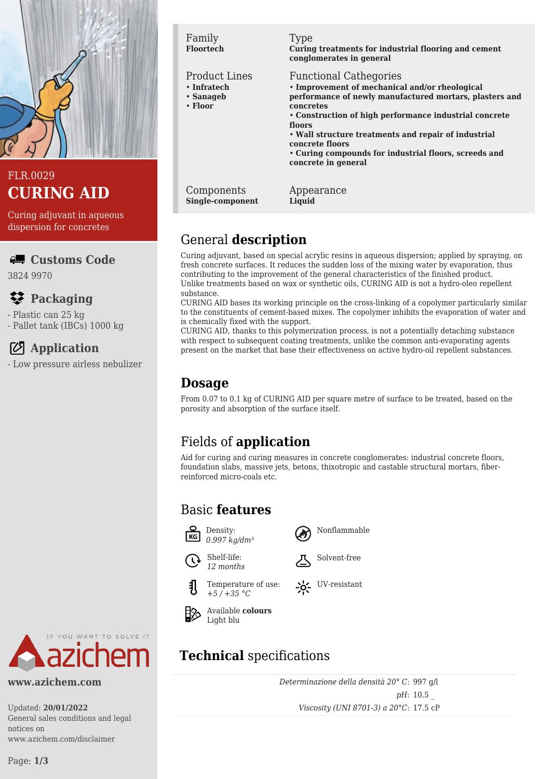

## FLR.0029 **CURING AID**

Curing adjuvant in aqueous dispersion for concretes

## **Customs Code**

3824 9970

## **Packaging**

- Plastic can 25 kg
- Pallet tank (IBCs) 1000 kg

# **Application**

- Low pressure airless nebulizer



#### **www.azichem.com**

Updated: **20/01/2022** General sales conditions and legal notices on www.azichem.com/disclaimer

#### Family **Floortech**

#### Product Lines

- **Infratech**
- **Sanageb**
- **Floor**

#### Type

**Curing treatments for industrial flooring and cement conglomerates in general**

#### Functional Cathegories

- **Improvement of mechanical and/or rheological performance of newly manufactured mortars, plasters and concretes**
- **Construction of high performance industrial concrete floors**
- **Wall structure treatments and repair of industrial concrete floors**
- **Curing compounds for industrial floors, screeds and concrete in general**

Components **Single-component** Appearance **Liquid**

# General **description**

Curing adjuvant, based on special acrylic resins in aqueous dispersion; applied by spraying, on fresh concrete surfaces. It reduces the sudden loss of the mixing water by evaporation, thus contributing to the improvement of the general characteristics of the finished product. Unlike treatments based on wax or synthetic oils, CURING AID is not a hydro-oleo repellent substance.

CURING AID bases its working principle on the cross-linking of a copolymer particularly similar to the constituents of cement-based mixes. The copolymer inhibits the evaporation of water and is chemically fixed with the support.

CURING AID, thanks to this polymerization process, is not a potentially detaching substance with respect to subsequent coating treatments, unlike the common anti-evaporating agents present on the market that base their effectiveness on active hydro-oil repellent substances.

## **Dosage**

From 0.07 to 0.1 kg of CURING AID per square metre of surface to be treated, based on the porosity and absorption of the surface itself.

# Fields of **application**

Aid for curing and curing measures in concrete conglomerates: industrial concrete floors, foundation slabs, massive jets, betons, thixotropic and castable structural mortars, fiberreinforced micro-coals etc.

Nonflammable

Solvent-free

UV-resistant

## Basic **features**













# **Technical** specifications

*Determinazione della densità 20° C*: 997 g/l *pH*: 10.5 \_ *Viscosity (UNI 8701-3) a 20°C*: 17.5 cP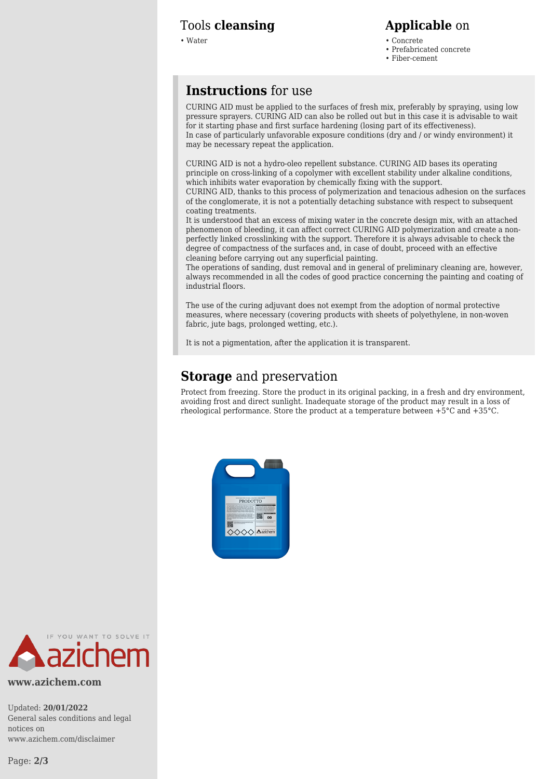#### Tools **cleansing Applicable** on

- Water Concrete Concrete Concrete Concrete Concrete Concrete Concrete Concrete Concrete Concrete Concrete Concrete Concrete Concrete Concrete Concrete Concrete Concrete Concrete Con
	- Prefabricated concrete • Fiber-cement

## **Instructions** for use

CURING AID must be applied to the surfaces of fresh mix, preferably by spraying, using low pressure sprayers. CURING AID can also be rolled out but in this case it is advisable to wait for it starting phase and first surface hardening (losing part of its effectiveness). In case of particularly unfavorable exposure conditions (dry and / or windy environment) it may be necessary repeat the application.

CURING AID is not a hydro-oleo repellent substance. CURING AID bases its operating principle on cross-linking of a copolymer with excellent stability under alkaline conditions, which inhibits water evaporation by chemically fixing with the support.

CURING AID, thanks to this process of polymerization and tenacious adhesion on the surfaces of the conglomerate, it is not a potentially detaching substance with respect to subsequent coating treatments.

It is understood that an excess of mixing water in the concrete design mix, with an attached phenomenon of bleeding, it can affect correct CURING AID polymerization and create a nonperfectly linked crosslinking with the support. Therefore it is always advisable to check the degree of compactness of the surfaces and, in case of doubt, proceed with an effective cleaning before carrying out any superficial painting.

The operations of sanding, dust removal and in general of preliminary cleaning are, however, always recommended in all the codes of good practice concerning the painting and coating of industrial floors.

The use of the curing adjuvant does not exempt from the adoption of normal protective measures, where necessary (covering products with sheets of polyethylene, in non-woven fabric, jute bags, prolonged wetting, etc.).

It is not a pigmentation, after the application it is transparent.

## **Storage** and preservation

Protect from freezing. Store the product in its original packing, in a fresh and dry environment, avoiding frost and direct sunlight. Inadequate storage of the product may result in a loss of rheological performance. Store the product at a temperature between +5°C and +35°C.





#### **www.azichem.com**

Updated: **20/01/2022** General sales conditions and legal notices on www.azichem.com/disclaimer